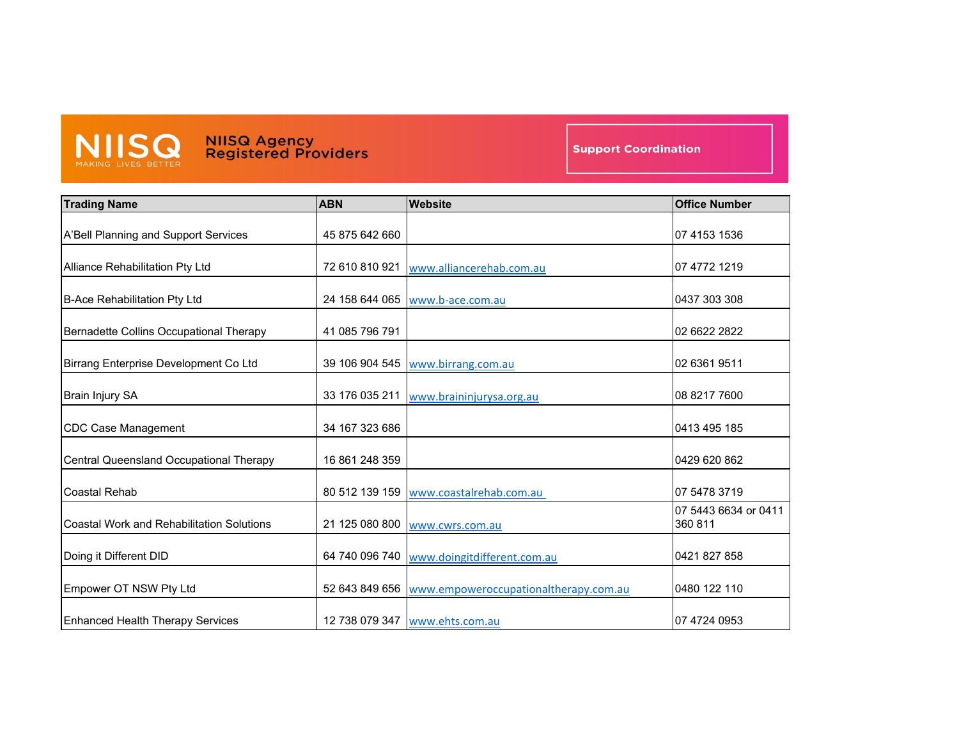

**NIISQ Agency<br>Registered Providers** 

**Support Coordination** 

| <b>Trading Name</b>                              | <b>ABN</b>     | <b>Website</b>                                       | <b>Office Number</b>            |
|--------------------------------------------------|----------------|------------------------------------------------------|---------------------------------|
| A'Bell Planning and Support Services             | 45 875 642 660 |                                                      | 07 4153 1536                    |
| Alliance Rehabilitation Pty Ltd                  | 72 610 810 921 | www.alliancerehab.com.au                             | 07 4772 1219                    |
| <b>B-Ace Rehabilitation Pty Ltd</b>              | 24 158 644 065 | www.b-ace.com.au                                     | 0437 303 308                    |
| Bernadette Collins Occupational Therapy          | 41 085 796 791 |                                                      | 02 6622 2822                    |
| Birrang Enterprise Development Co Ltd            | 39 106 904 545 | www.birrang.com.au                                   | 02 6361 9511                    |
| <b>Brain Injury SA</b>                           | 33 176 035 211 | www.braininjurysa.org.au                             | 08 8217 7600                    |
| <b>CDC Case Management</b>                       | 34 167 323 686 |                                                      | 0413 495 185                    |
| Central Queensland Occupational Therapy          | 16 861 248 359 |                                                      | 0429 620 862                    |
| <b>Coastal Rehab</b>                             | 80 512 139 159 | www.coastalrehab.com.au                              | 07 5478 3719                    |
| <b>Coastal Work and Rehabilitation Solutions</b> | 21 125 080 800 | www.cwrs.com.au                                      | 07 5443 6634 or 0411<br>360 811 |
| Doing it Different DID                           | 64 740 096 740 | www.doingitdifferent.com.au                          | 0421 827 858                    |
| Empower OT NSW Pty Ltd                           |                | 52 643 849 656 www.empoweroccupationaltherapy.com.au | 0480 122 110                    |
| <b>Enhanced Health Therapy Services</b>          |                | 12 738 079 347 www.ehts.com.au                       | 07 4724 0953                    |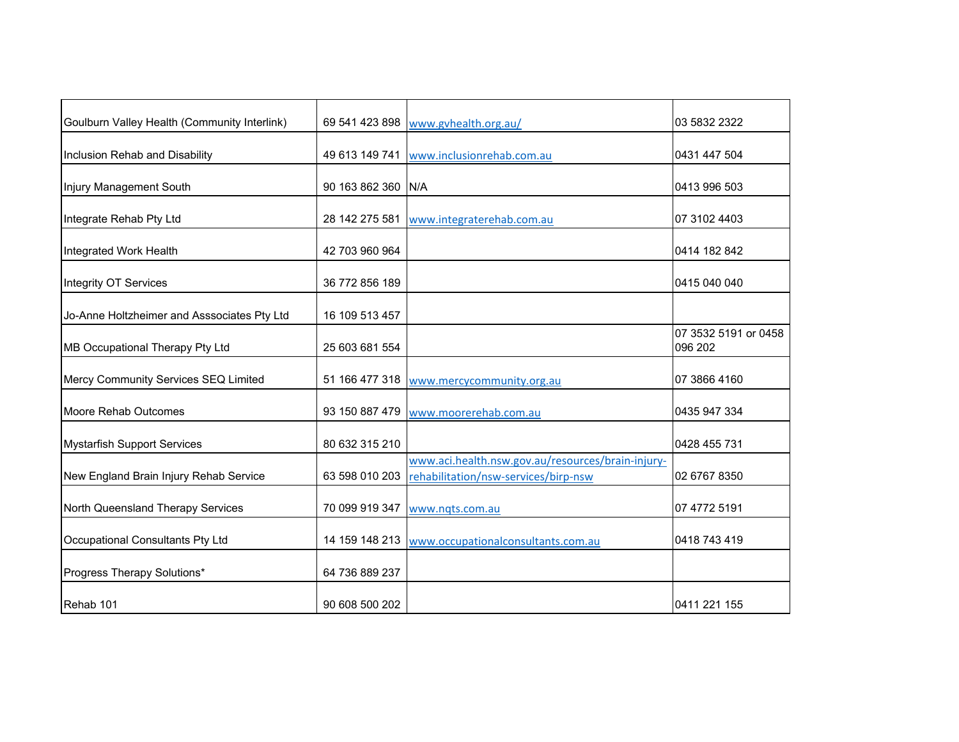| Goulburn Valley Health (Community Interlink) |                    | 69 541 423 898 www.gvhealth.org.au/                                                       | 03 5832 2322                    |
|----------------------------------------------|--------------------|-------------------------------------------------------------------------------------------|---------------------------------|
| Inclusion Rehab and Disability               | 49 613 149 741     | www.inclusionrehab.com.au                                                                 | 0431 447 504                    |
| Injury Management South                      | 90 163 862 360 N/A |                                                                                           | 0413 996 503                    |
| Integrate Rehab Pty Ltd                      | 28 142 275 581     | www.integraterehab.com.au                                                                 | 07 3102 4403                    |
| Integrated Work Health                       | 42 703 960 964     |                                                                                           | 0414 182 842                    |
| Integrity OT Services                        | 36 772 856 189     |                                                                                           | 0415 040 040                    |
| Jo-Anne Holtzheimer and Asssociates Pty Ltd  | 16 109 513 457     |                                                                                           |                                 |
| MB Occupational Therapy Pty Ltd              | 25 603 681 554     |                                                                                           | 07 3532 5191 or 0458<br>096 202 |
| Mercy Community Services SEQ Limited         |                    | 51 166 477 318 www.mercycommunity.org.au                                                  | 07 3866 4160                    |
| Moore Rehab Outcomes                         | 93 150 887 479     | www.moorerehab.com.au                                                                     | 0435 947 334                    |
| <b>Mystarfish Support Services</b>           | 80 632 315 210     |                                                                                           | 0428 455 731                    |
| New England Brain Injury Rehab Service       | 63 598 010 203     | www.aci.health.nsw.gov.au/resources/brain-injury-<br>rehabilitation/nsw-services/birp-nsw | 02 6767 8350                    |
| North Queensland Therapy Services            | 70 099 919 347     | www.nqts.com.au                                                                           | 07 4772 5191                    |
| Occupational Consultants Pty Ltd             | 14 159 148 213     | www.occupationalconsultants.com.au                                                        | 0418 743 419                    |
| Progress Therapy Solutions*                  | 64 736 889 237     |                                                                                           |                                 |
| Rehab 101                                    | 90 608 500 202     |                                                                                           | 0411 221 155                    |